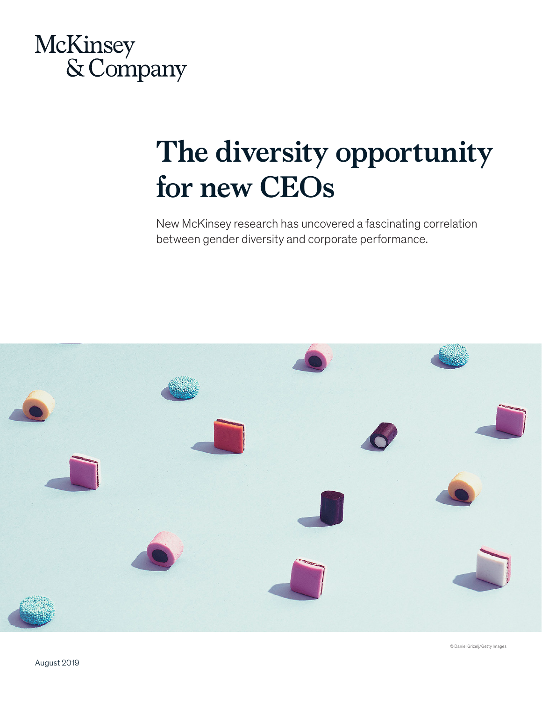

## **The diversity opportunity for new CEOs**

New McKinsey research has uncovered a fascinating correlation between gender diversity and corporate performance.



© Daniel Grizelj/Getty Images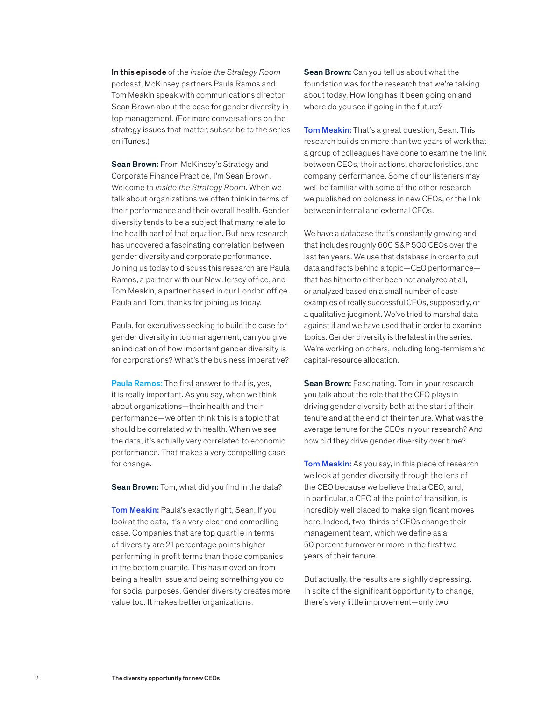In this episode of the *Inside the Strategy Room* podcast, McKinsey partners Paula Ramos and Tom Meakin speak with communications director Sean Brown about the case for gender diversity in top management. (For more conversations on the strategy issues that matter, subscribe to the series on iTunes.)

Sean Brown: From McKinsey's Strategy and Corporate Finance Practice, I'm Sean Brown. Welcome to *Inside the Strategy Room*. When we talk about organizations we often think in terms of their performance and their overall health. Gender diversity tends to be a subject that many relate to the health part of that equation. But new research has uncovered a fascinating correlation between gender diversity and corporate performance. Joining us today to discuss this research are Paula Ramos, a partner with our New Jersey office, and Tom Meakin, a partner based in our London office. Paula and Tom, thanks for joining us today.

Paula, for executives seeking to build the case for gender diversity in top management, can you give an indication of how important gender diversity is for corporations? What's the business imperative?

Paula Ramos: The first answer to that is, yes, it is really important. As you say, when we think about organizations—their health and their performance—we often think this is a topic that should be correlated with health. When we see the data, it's actually very correlated to economic performance. That makes a very compelling case for change.

Sean Brown: Tom, what did you find in the data?

Tom Meakin: Paula's exactly right, Sean. If you look at the data, it's a very clear and compelling case. Companies that are top quartile in terms of diversity are 21 percentage points higher performing in profit terms than those companies in the bottom quartile. This has moved on from being a health issue and being something you do for social purposes. Gender diversity creates more value too. It makes better organizations.

Sean Brown: Can you tell us about what the foundation was for the research that we're talking about today. How long has it been going on and where do you see it going in the future?

Tom Meakin: That's a great question, Sean. This research builds on more than two years of work that a group of colleagues have done to examine the link between CEOs, their actions, characteristics, and company performance. Some of our listeners may well be familiar with some of the other research we published on boldness in new CEOs, or the link between internal and external CEOs.

We have a database that's constantly growing and that includes roughly 600 S&P 500 CEOs over the last ten years. We use that database in order to put data and facts behind a topic—CEO performance that has hitherto either been not analyzed at all, or analyzed based on a small number of case examples of really successful CEOs, supposedly, or a qualitative judgment. We've tried to marshal data against it and we have used that in order to examine topics. Gender diversity is the latest in the series. We're working on others, including long-termism and capital-resource allocation.

Sean Brown: Fascinating. Tom, in your research you talk about the role that the CEO plays in driving gender diversity both at the start of their tenure and at the end of their tenure. What was the average tenure for the CEOs in your research? And how did they drive gender diversity over time?

Tom Meakin: As you say, in this piece of research we look at gender diversity through the lens of the CEO because we believe that a CEO, and, in particular, a CEO at the point of transition, is incredibly well placed to make significant moves here. Indeed, two-thirds of CEOs change their management team, which we define as a 50 percent turnover or more in the first two years of their tenure.

But actually, the results are slightly depressing. In spite of the significant opportunity to change, there's very little improvement—only two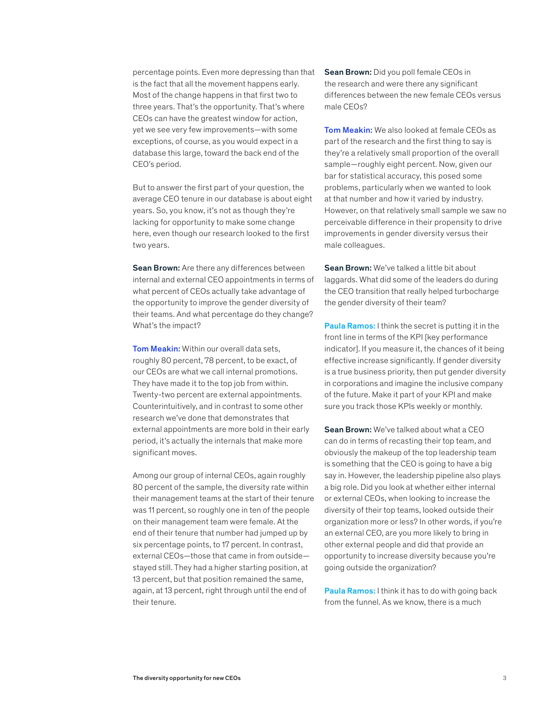percentage points. Even more depressing than that is the fact that all the movement happens early. Most of the change happens in that first two to three years. That's the opportunity. That's where CEOs can have the greatest window for action, yet we see very few improvements—with some exceptions, of course, as you would expect in a database this large, toward the back end of the CEO's period.

But to answer the first part of your question, the average CEO tenure in our database is about eight years. So, you know, it's not as though they're lacking for opportunity to make some change here, even though our research looked to the first two years.

Sean Brown: Are there any differences between internal and external CEO appointments in terms of what percent of CEOs actually take advantage of the opportunity to improve the gender diversity of their teams. And what percentage do they change? What's the impact?

**Tom Meakin:** Within our overall data sets, roughly 80 percent, 78 percent, to be exact, of our CEOs are what we call internal promotions. They have made it to the top job from within. Twenty-two percent are external appointments. Counterintuitively, and in contrast to some other research we've done that demonstrates that external appointments are more bold in their early period, it's actually the internals that make more significant moves.

Among our group of internal CEOs, again roughly 80 percent of the sample, the diversity rate within their management teams at the start of their tenure was 11 percent, so roughly one in ten of the people on their management team were female. At the end of their tenure that number had jumped up by six percentage points, to 17 percent. In contrast, external CEOs—those that came in from outside stayed still. They had a higher starting position, at 13 percent, but that position remained the same, again, at 13 percent, right through until the end of their tenure.

Sean Brown: Did you poll female CEOs in the research and were there any significant differences between the new female CEOs versus male CEOs?

Tom Meakin: We also looked at female CEOs as part of the research and the first thing to say is they're a relatively small proportion of the overall sample—roughly eight percent. Now, given our bar for statistical accuracy, this posed some problems, particularly when we wanted to look at that number and how it varied by industry. However, on that relatively small sample we saw no perceivable difference in their propensity to drive improvements in gender diversity versus their male colleagues.

Sean Brown: We've talked a little bit about laggards. What did some of the leaders do during the CEO transition that really helped turbocharge the gender diversity of their team?

Paula Ramos: I think the secret is putting it in the front line in terms of the KPI [key performance indicator]. If you measure it, the chances of it being effective increase significantly. If gender diversity is a true business priority, then put gender diversity in corporations and imagine the inclusive company of the future. Make it part of your KPI and make sure you track those KPIs weekly or monthly.

Sean Brown: We've talked about what a CEO can do in terms of recasting their top team, and obviously the makeup of the top leadership team is something that the CEO is going to have a big say in. However, the leadership pipeline also plays a big role. Did you look at whether either internal or external CEOs, when looking to increase the diversity of their top teams, looked outside their organization more or less? In other words, if you're an external CEO, are you more likely to bring in other external people and did that provide an opportunity to increase diversity because you're going outside the organization?

Paula Ramos: I think it has to do with going back from the funnel. As we know, there is a much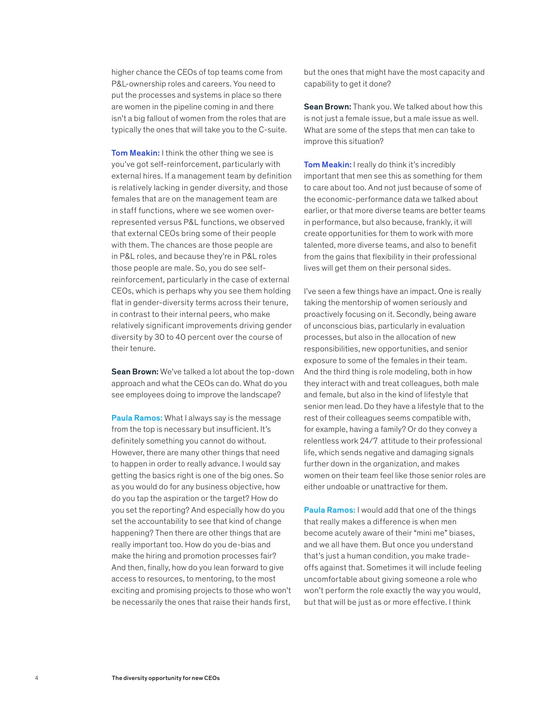higher chance the CEOs of top teams come from P&L-ownership roles and careers. You need to put the processes and systems in place so there are women in the pipeline coming in and there isn't a big fallout of women from the roles that are typically the ones that will take you to the C-suite.

Tom Meakin: I think the other thing we see is you've got self-reinforcement, particularly with external hires. If a management team by definition is relatively lacking in gender diversity, and those females that are on the management team are in staff functions, where we see women overrepresented versus P&L functions, we observed that external CEOs bring some of their people with them. The chances are those people are in P&L roles, and because they're in P&L roles those people are male. So, you do see selfreinforcement, particularly in the case of external CEOs, which is perhaps why you see them holding flat in gender-diversity terms across their tenure, in contrast to their internal peers, who make relatively significant improvements driving gender diversity by 30 to 40 percent over the course of their tenure.

Sean Brown: We've talked a lot about the top-down approach and what the CEOs can do. What do you see employees doing to improve the landscape?

Paula Ramos: What I always say is the message from the top is necessary but insufficient. It's definitely something you cannot do without. However, there are many other things that need to happen in order to really advance. I would say getting the basics right is one of the big ones. So as you would do for any business objective, how do you tap the aspiration or the target? How do you set the reporting? And especially how do you set the accountability to see that kind of change happening? Then there are other things that are really important too. How do you de-bias and make the hiring and promotion processes fair? And then, finally, how do you lean forward to give access to resources, to mentoring, to the most exciting and promising projects to those who won't be necessarily the ones that raise their hands first,

but the ones that might have the most capacity and capability to get it done?

Sean Brown: Thank you. We talked about how this is not just a female issue, but a male issue as well. What are some of the steps that men can take to improve this situation?

Tom Meakin: I really do think it's incredibly important that men see this as something for them to care about too. And not just because of some of the economic-performance data we talked about earlier, or that more diverse teams are better teams in performance, but also because, frankly, it will create opportunities for them to work with more talented, more diverse teams, and also to benefit from the gains that flexibility in their professional lives will get them on their personal sides.

I've seen a few things have an impact. One is really taking the mentorship of women seriously and proactively focusing on it. Secondly, being aware of unconscious bias, particularly in evaluation processes, but also in the allocation of new responsibilities, new opportunities, and senior exposure to some of the females in their team. And the third thing is role modeling, both in how they interact with and treat colleagues, both male and female, but also in the kind of lifestyle that senior men lead. Do they have a lifestyle that to the rest of their colleagues seems compatible with, for example, having a family? Or do they convey a relentless work 24/7 attitude to their professional life, which sends negative and damaging signals further down in the organization, and makes women on their team feel like those senior roles are either undoable or unattractive for them.

Paula Ramos: I would add that one of the things that really makes a difference is when men become acutely aware of their "mini me" biases, and we all have them. But once you understand that's just a human condition, you make tradeoffs against that. Sometimes it will include feeling uncomfortable about giving someone a role who won't perform the role exactly the way you would, but that will be just as or more effective. I think